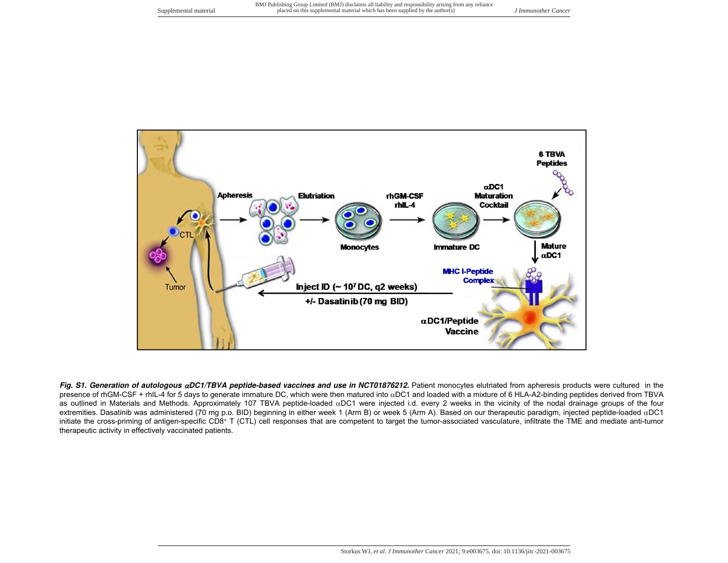

Fig. S1. Generation of autologous aDC1/TBVA peptide-based vaccines and use in NCT01876212. Patient monocytes elutriated from apheresis products were cultured in the presence of rhGM-CSF + rhIL-4 for 5 days to generate immature DC, which were then matured into  $\alpha$ DC1 and loaded with a mixture of 6 HLA-A2-binding peptides derived from TBVA as outlined in Materials and Methods. Approximately 107 TBVA peptide-loaded  $\alpha$ DC1 were injected i.d. every 2 weeks in the vicinity of the nodal drainage groups of the four extremities. Dasatinib was administered (70 mg p.o. BID) beginning in either week 1 (Arm B) or week 5 (Arm A). Based on our therapeutic paradigm, injected peptide-loaded  $\alpha$ DC1 initiate the cross-priming of antigen-specific CD8+ T (CTL) cell responses that are competent to target the tumor-associated vasculature, infiltrate the TME and mediate anti-tumor therapeutic activity in effectively vaccinated patients.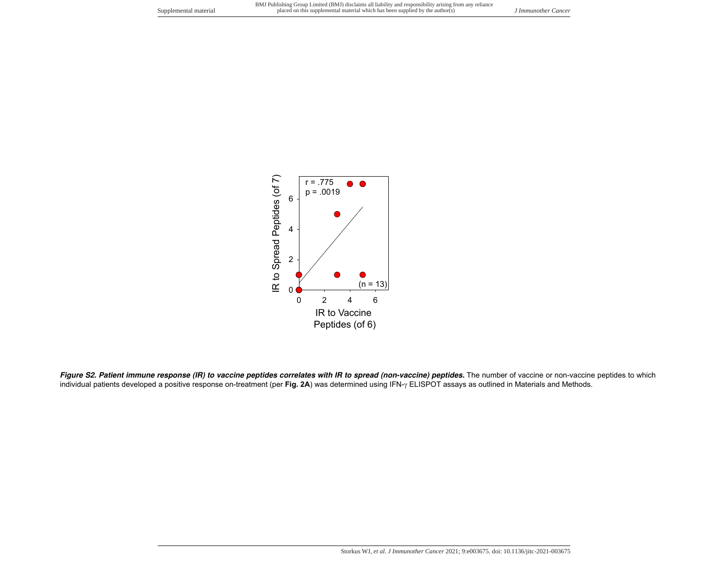

Figure S2. Patient immune response (IR) to vaccine peptides correlates with IR to spread (non-vaccine) peptides. The number of vaccine or non-vaccine peptides to which individual patients developed a positive response on-treatment (per Fig. 2A) was determined using IFN- $\gamma$  ELISPOT assays as outlined in Materials and Methods.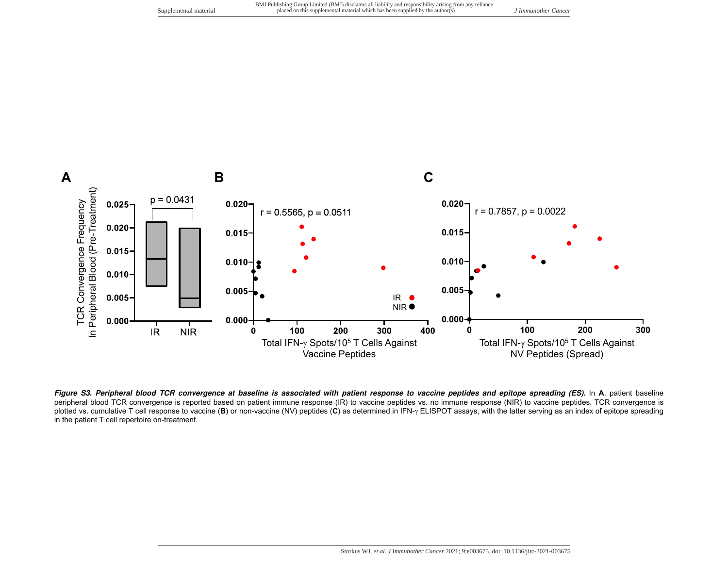

**Figure S3. Peripheral blood TCR convergence at baseline is associated with patient response to vaccine peptides and epitope spreading (ES).** In **A**, patient baseline peripheral blood TCR convergence is reported based on patient immune response (IR) to vaccine peptides vs. no immune response (NIR) to vaccine peptides. TCR convergence is plotted vs. cumulative T cell response to vaccine (B) or non-vaccine (NV) peptides (C) as determined in IFN- $\gamma$  ELISPOT assays, with the latter serving as an index of epitope spreading in the patient T cell repertoire on-treatment.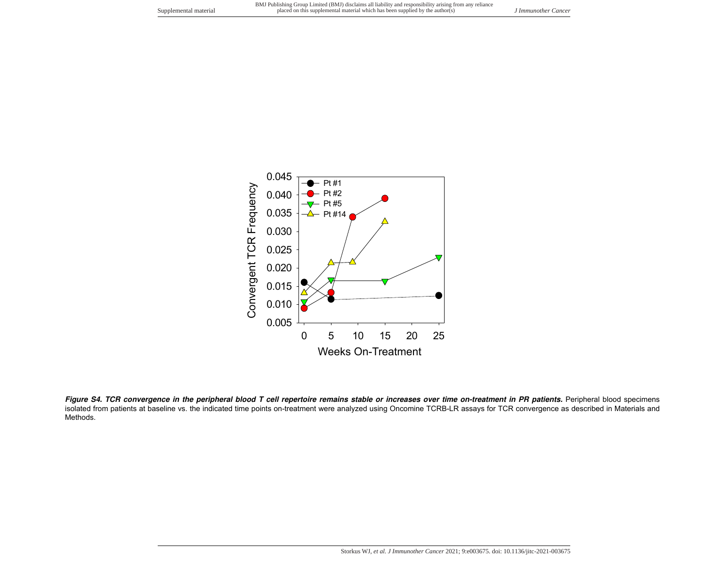

Figure S4. TCR convergence in the peripheral blood T cell repertoire remains stable or increases over time on-treatment in PR patients. Peripheral blood specimens isolated from patients at baseline vs. the indicated time points on-treatment were analyzed using Oncomine TCRB-LR assays for TCR convergence as described in Materials and Methods.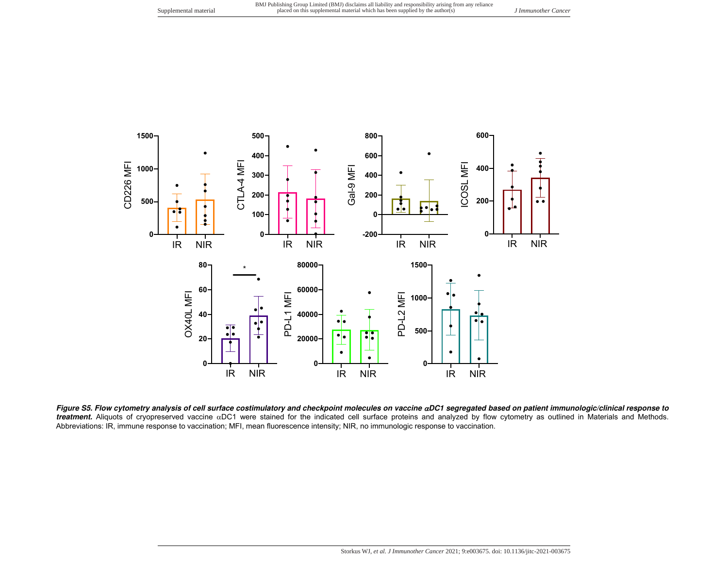

**Figure S5. Flow cytometry analysis of cell surface costimulatory and checkpoint molecules on vaccine DC1 segregated based on patient immunologic/clinical response to** treatment. Aliquots of cryopreserved vaccine aDC1 were stained for the indicated cell surface proteins and analyzed by flow cytometry as outlined in Materials and Methods. Abbreviations: IR, immune response to vaccination; MFI, mean fluorescence intensity; NIR, no immunologic response to vaccination.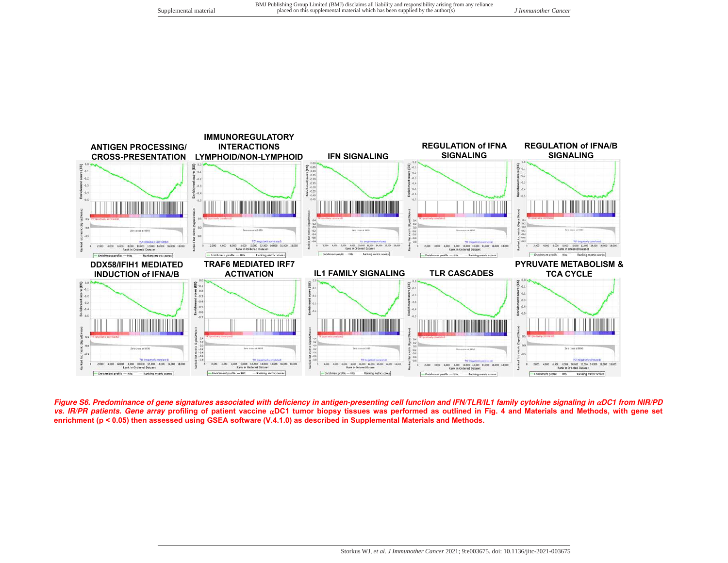

Figure S6. Predominance of gene signatures associated with deficiency in antigen-presenting cell function and IFN/TLR/IL1 family cytokine signaling in  $\alpha$ DC1 from NIR/PD **vs. IR/PR patients. Gene array profiling of patient vaccine DC1 tumor biopsy tissues was performed as outlined in Fig. 4 and Materials and Methods, with gene set enrichment (p < 0.05) then assessed using GSEA software (V.4.1.0) as described in Supplemental Materials and Methods.**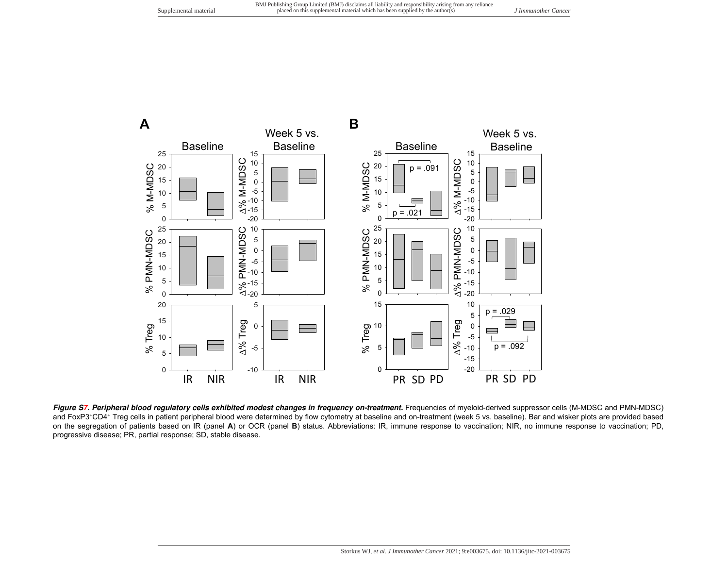

Figure S7. Peripheral blood regulatory cells exhibited modest changes in frequency on-treatment. Frequencies of myeloid-derived suppressor cells (M-MDSC and PMN-MDSC) and FoxP3<sup>+</sup>CD4<sup>+</sup> Treg cells in patient peripheral blood were determined by flow cytometry at baseline and on-treatment (week 5 vs. baseline). Bar and wisker plots are provided based on the segregation of patients based on IR (panel **A**) or OCR (panel **B**) status. Abbreviations: IR, immune response to vaccination; NIR, no immune response to vaccination; PD, progressive disease; PR, partial response; SD, stable disease.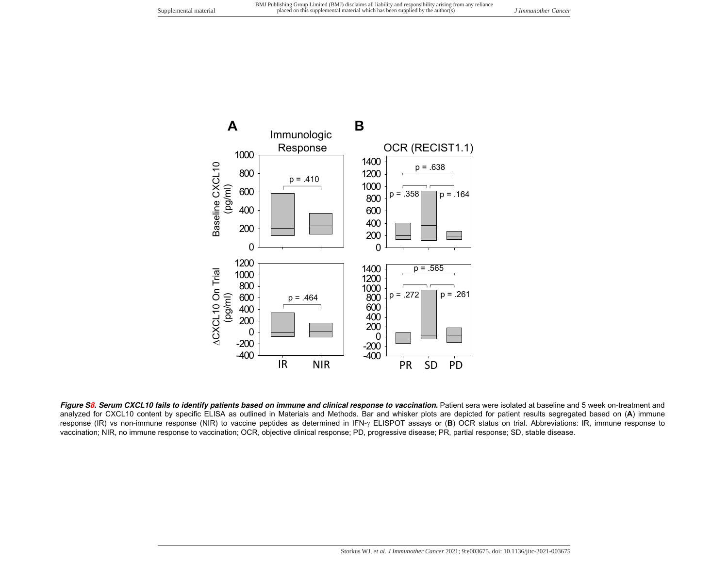

Figure S8. Serum CXCL10 fails to identify patients based on immune and clinical response to vaccination. Patient sera were isolated at baseline and 5 week on-treatment and analyzed for CXCL10 content by specific ELISA as outlined in Materials and Methods. Bar and whisker plots are depicted for patient results segregated based on (**A**) immune response (IR) vs non-immune response (NIR) to vaccine peptides as determined in IFN- $\gamma$  ELISPOT assays or (B) OCR status on trial. Abbreviations: IR, immune response to vaccination; NIR, no immune response to vaccination; OCR, objective clinical response; PD, progressive disease; PR, partial response; SD, stable disease.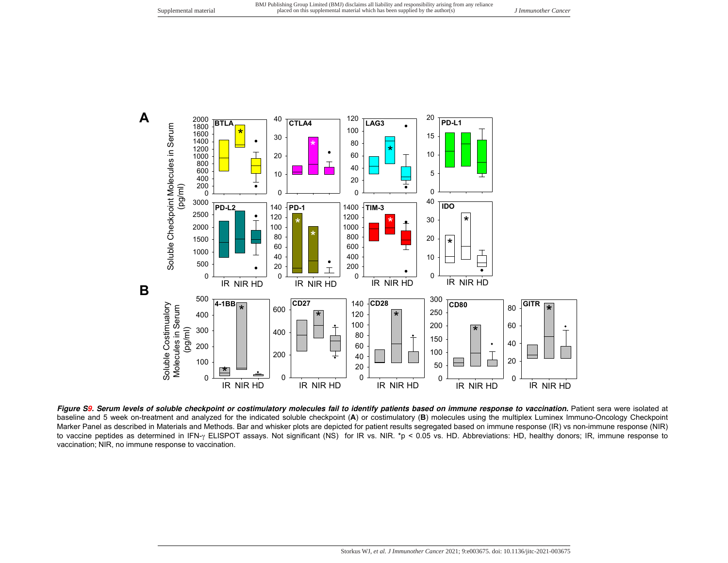

Figure S9. Serum levels of soluble checkpoint or costimulatory molecules fail to identify patients based on immune response to vaccination. Patient sera were isolated at baseline and 5 week on-treatment and analyzed for the indicated soluble checkpoint (**A**) or costimulatory (**B**) molecules using the multiplex Luminex Immuno-Oncology Checkpoint Marker Panel as described in Materials and Methods. Bar and whisker plots are depicted for patient results segregated based on immune response (IR) vs non-immune response (NIR) to vaccine peptides as determined in IFN-y ELISPOT assays. Not significant (NS) for IR vs. NIR. \*p < 0.05 vs. HD. Abbreviations: HD, healthy donors; IR, immune response to vaccination; NIR, no immune response to vaccination.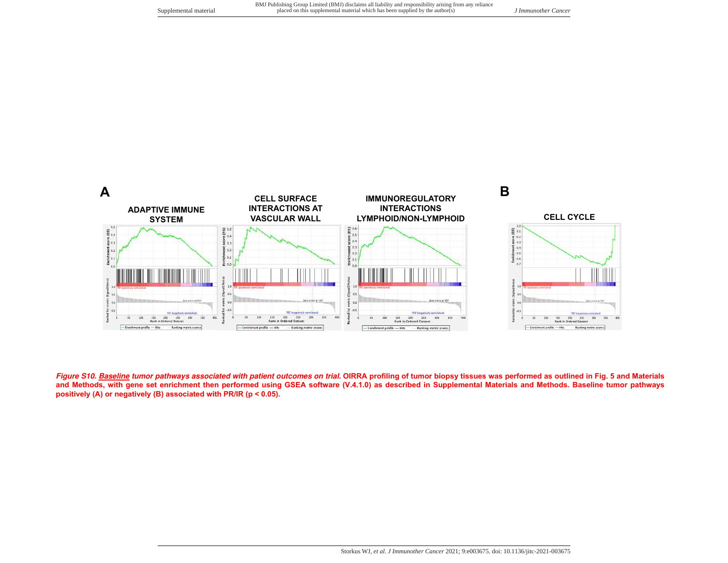

**Figure S10. Baseline tumor pathways associated with patient outcomes on trial. OIRRA profiling of tumor biopsy tissues was performed as outlined in Fig. 5 and Materials and Methods, with gene set enrichment then performed using GSEA software (V.4.1.0) as described in Supplemental Materials and Methods. Baseline tumor pathways positively (A) or negatively (B) associated with PR/IR (p < 0.05).**